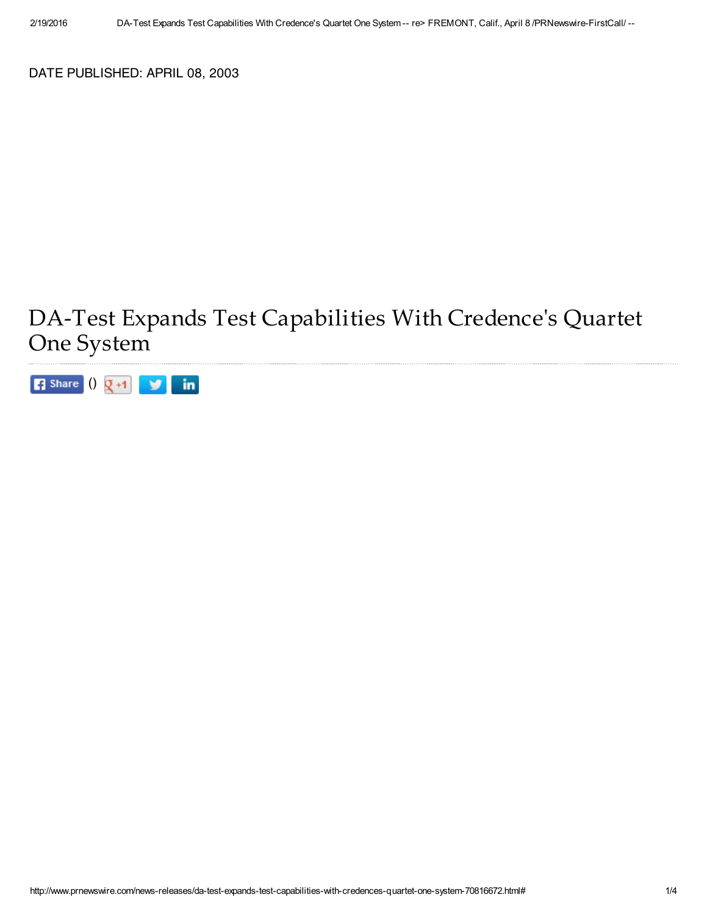DATE PUBLISHED: APRIL 08, 2003

# DA-Test Expands Test Capabilities With Credence's Quartet One System

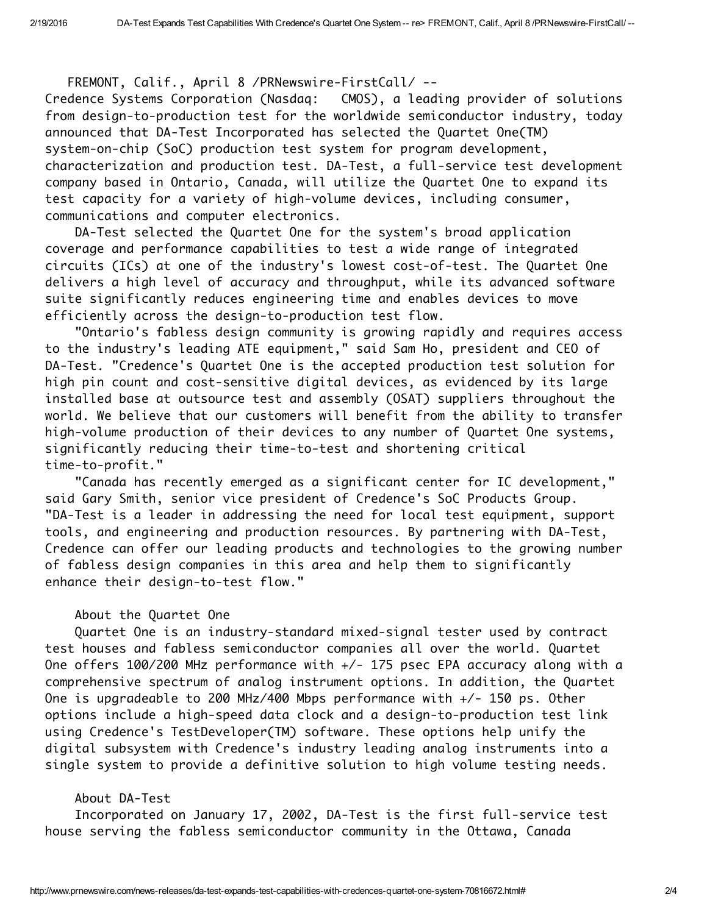## FREMONT, Calif., April 8 /PRNewswire-FirstCall/ --

Credence Systems Corporation (Nasdaq: CMOS), a leading provider of solutions from design-to-production test for the worldwide semiconductor industry, today announced that DA-Test Incorporated has selected the Quartet One(TM) system-on-chip (SoC) production test system for program development, characterization and production test. DA-Test, a full-service test development company based in Ontario, Canada, will utilize the Quartet One to expand its test capacity for a variety of high-volume devices, including consumer, communications and computer electronics.

DA-Test selected the Quartet One for the system's broad application coverage and performance capabilities to test a wide range of integrated circuits (ICs) at one of the industry's lowest cost-of-test. The Quartet One delivers a high level of accuracy and throughput, while its advanced software suite significantly reduces engineering time and enables devices to move efficiently across the design-to-production test flow.

"Ontario's fabless design community is growing rapidly and requires access to the industry's leading ATE equipment," said Sam Ho, president and CEO of DA-Test. "Credence's Quartet One is the accepted production test solution for high pin count and cost-sensitive digital devices, as evidenced by its large installed base at outsource test and assembly (OSAT) suppliers throughout the world. We believe that our customers will benefit from the ability to transfer high-volume production of their devices to any number of Quartet One systems, significantly reducing their time-to-test and shortening critical time-to-profit."

"Canada has recently emerged as a significant center for IC development," said Gary Smith, senior vice president of Credence's SoC Products Group. "DA-Test is a leader in addressing the need for local test equipment, support tools, and engineering and production resources. By partnering with DA-Test, Credence can offer our leading products and technologies to the growing number of fabless design companies in this area and help them to significantly enhance their design-to-test flow."

#### About the Quartet One

Quartet One is an industry-standard mixed-signal tester used by contract test houses and fabless semiconductor companies all over the world. Quartet One offers 100/200 MHz performance with +/- 175 psec EPA accuracy along with a comprehensive spectrum of analog instrument options. In addition, the Quartet One is upgradeable to 200 MHz/400 Mbps performance with +/- 150 ps. Other options include a high-speed data clock and a design-to-production test link using Credence's TestDeveloper(TM) software. These options help unify the digital subsystem with Credence's industry leading analog instruments into a single system to provide a definitive solution to high volume testing needs.

#### About DA-Test

Incorporated on January 17, 2002, DA-Test is the first full-service test house serving the fabless semiconductor community in the Ottawa, Canada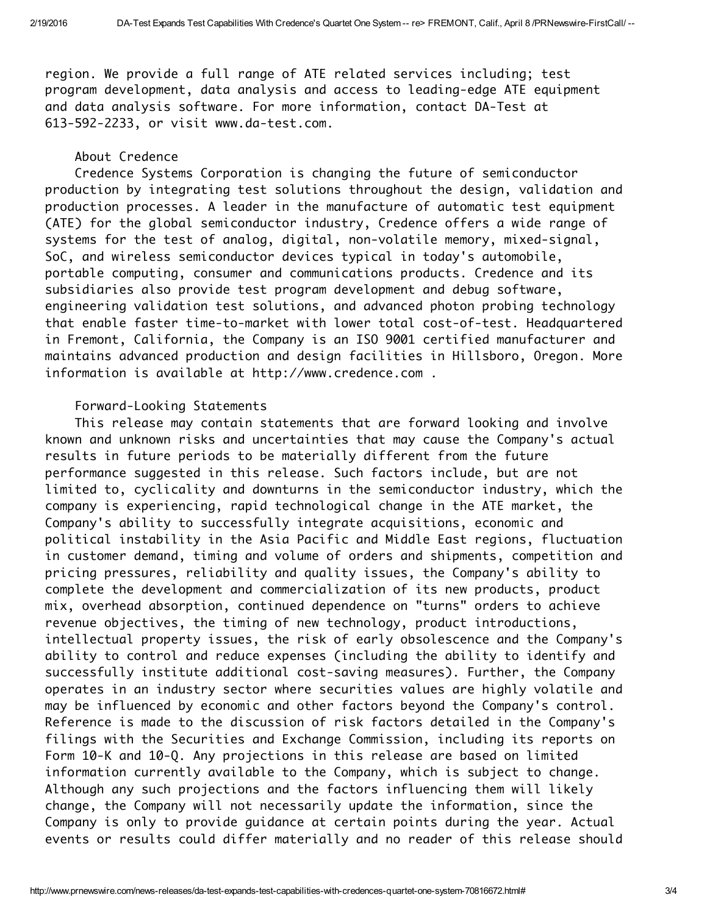region. We provide a full range of ATE related services including; test program development, data analysis and access to leading-edge ATE equipment and data analysis software. For more information, contact DA-Test at 613-592-2233, or visit www.da-test.com.

#### About Credence

Credence Systems Corporation is changing the future of semiconductor production by integrating test solutions throughout the design, validation and production processes. A leader in the manufacture of automatic test equipment (ATE) for the global semiconductor industry, Credence offers a wide range of systems for the test of analog, digital, non-volatile memory, mixed-signal, SoC, and wireless semiconductor devices typical in today's automobile, portable computing, consumer and communications products. Credence and its subsidiaries also provide test program development and debug software, engineering validation test solutions, and advanced photon probing technology that enable faster time-to-market with lower total cost-of-test. Headquartered in Fremont, California, the Company is an ISO 9001 certified manufacturer and maintains advanced production and design facilities in Hillsboro, Oregon. More information is available at http://www.credence.com .

### Forward-Looking Statements

This release may contain statements that are forward looking and involve known and unknown risks and uncertainties that may cause the Company's actual results in future periods to be materially different from the future performance suggested in this release. Such factors include, but are not limited to, cyclicality and downturns in the semiconductor industry, which the company is experiencing, rapid technological change in the ATE market, the Company's ability to successfully integrate acquisitions, economic and political instability in the Asia Pacific and Middle East regions, fluctuation in customer demand, timing and volume of orders and shipments, competition and pricing pressures, reliability and quality issues, the Company's ability to complete the development and commercialization of its new products, product mix, overhead absorption, continued dependence on "turns" orders to achieve revenue objectives, the timing of new technology, product introductions, intellectual property issues, the risk of early obsolescence and the Company's ability to control and reduce expenses (including the ability to identify and successfully institute additional cost-saving measures). Further, the Company operates in an industry sector where securities values are highly volatile and may be influenced by economic and other factors beyond the Company's control. Reference is made to the discussion of risk factors detailed in the Company's filings with the Securities and Exchange Commission, including its reports on Form 10-K and 10-Q. Any projections in this release are based on limited information currently available to the Company, which is subject to change. Although any such projections and the factors influencing them will likely change, the Company will not necessarily update the information, since the Company is only to provide guidance at certain points during the year. Actual events or results could differ materially and no reader of this release should